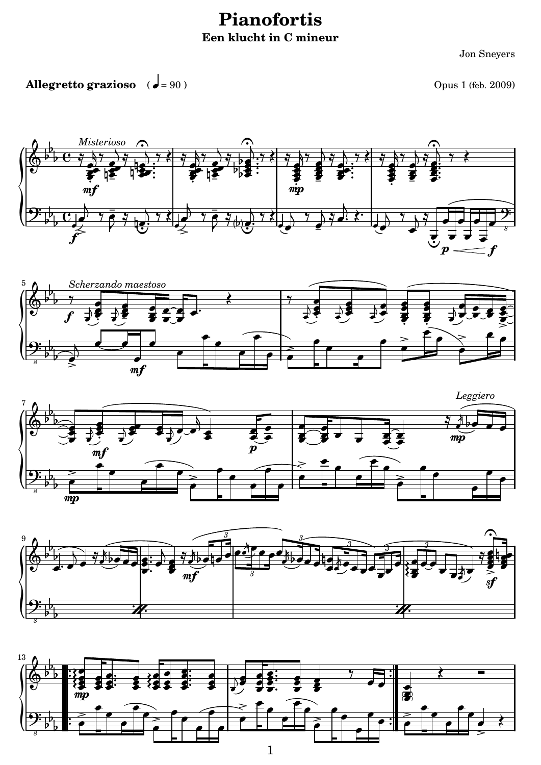## **Pianofortis Een klucht in C mineur**

Jon Sneyers

**Allegretto grazioso**  $\begin{pmatrix} \rightarrow \\ = 90 \end{pmatrix}$   $\begin{pmatrix} \rightarrow \\ \rightarrow \end{pmatrix}$  (feb. 2009)









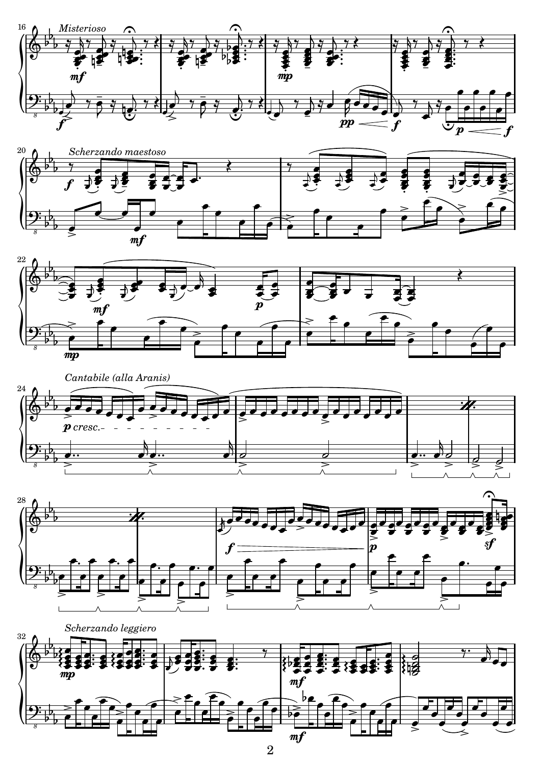